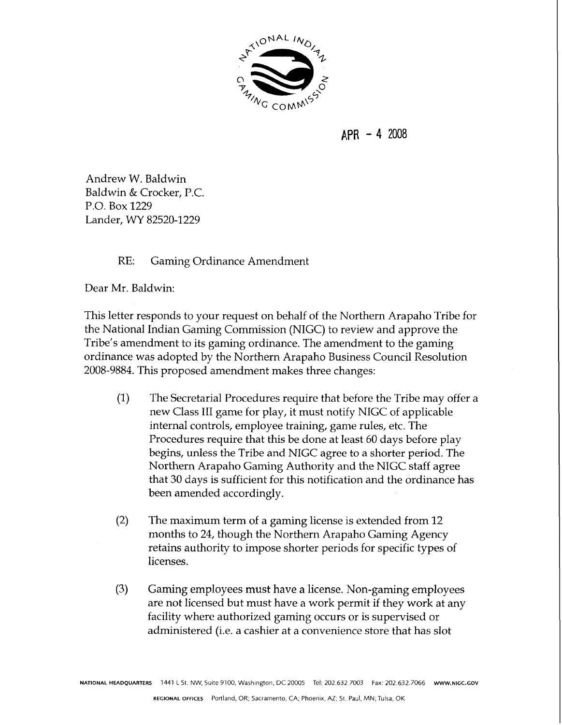

 $APR - 42008$ 

Andrew W. Baldwin Baldwin & Crocker, P.C. P.O. Box 1229 Lander, WY 82520-1229

## RE: Gaming Ordinance Amendment

Dear Mr. Baldwin:

This letter responds to your request on behalf of the Northern Arapaho Tribe for the National Indian Gaming Commission (NIGC) to review and approve the Tribe's amendment to its gaming ordinance. The amendment to the gaming ordinance was adopted by the Northern Arapaho Business Council Resolution 2008-9884. This proposed amendment makes three changes:

- (1) The Secretarial Procedures require that before the Tribe may offer a new Class 111 game for play, it must notify NIGC of applicable internal controls, employee training, game rules, etc. The Procedures require that this be done at least 60 days before play begins, unless the Tribe and NIGC agree to a shorter period. The Northern Arapaho Gaming Authority and the NIGC staff agree that 30 days is sufficient for this notification and the ordinance has been amended accordingly
- $(2)$  The maximum term of a gaming license is extended from 12 months to 24, though the Northern Arapaho Gaming Agency retains authority to impose shorter periods for specific types of licenses.
- **(3)** Gaming employees must have a license. Non-gaming employees are not licensed but must have a work permit if they work at any facility where authorized gaming occurs or is supervised or administered (i.e. a cashier at a convenience store that has slot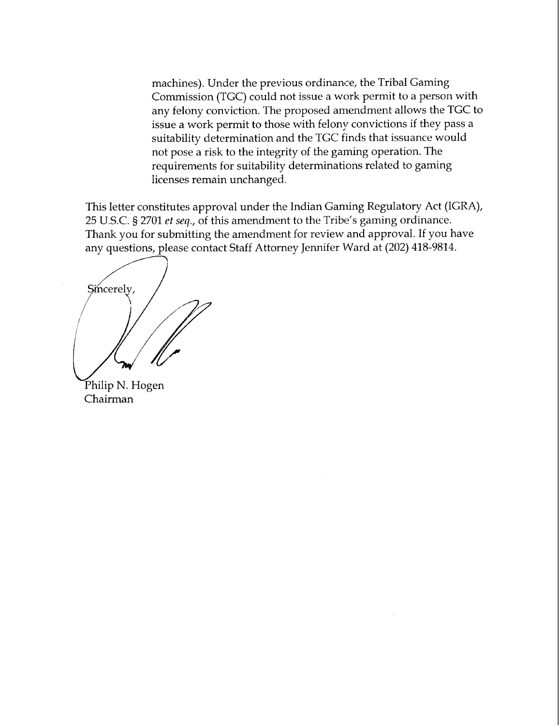machines). Under the previous ordinance, the Tribal Gaming Commission (TGC) could not issue a work permit to a person with any felony conviction. The proposed amendment allows the TGC to issue a work permit to those with felony convictions if they pass a suitability determination and the TGC finds that issuance would not pose a risk to the integrity of the gaming operation. The requirements for suitability determinations related to gaming licenses remain unchanged.

This letter constitutes approval under the Indian Gaming Regulatory Act (IGRA), 25 U.S.C. *5* 2701 **ef** seq., of this amendment to the Tribe's gaming ordinance. Thank you for submitting the amendment for review and approval. If you have any questions, please contact Staff Attorney Jennifer Ward at (202) 418-9814.

Sincerely,

Philip N. Hogen Chairman